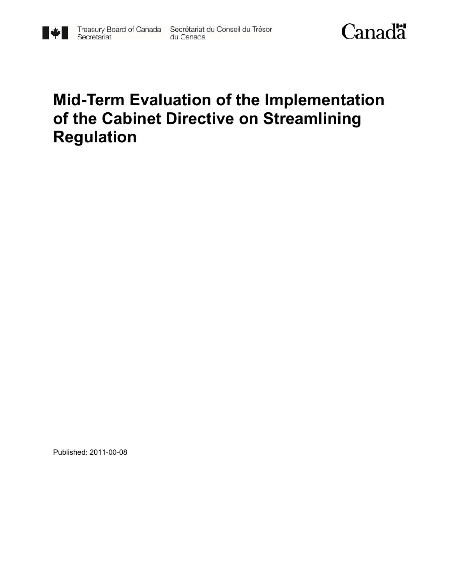

# **Mid-Term Evaluation of the Implementation of the Cabinet Directive on Streamlining Regulation**

Published: 2011-00-08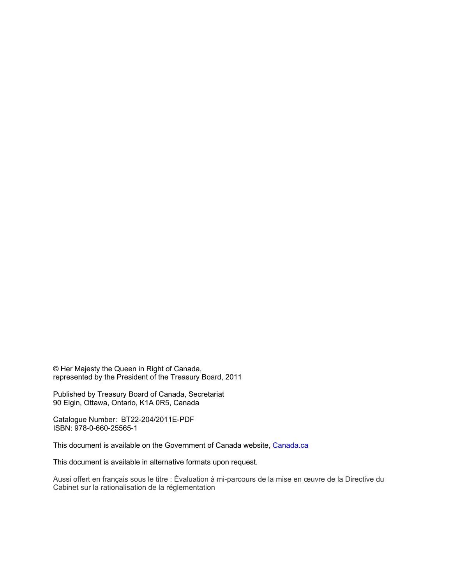© Her Majesty the Queen in Right of Canada, represented by the President of the Treasury Board, 2011

Published by Treasury Board of Canada, Secretariat 90 Elgin, Ottawa, Ontario, K1A 0R5, Canada

Catalogue Number: BT22-204/2011E-PDF ISBN: 978-0-660-25565-1

This document is available on the Government of Canada website, Canada.ca

This document is available in alternative formats upon request.

Aussi offert en français sous le titre : Évaluation à mi-parcours de la mise en œuvre de la Directive du Cabinet sur la rationalisation de la réglementation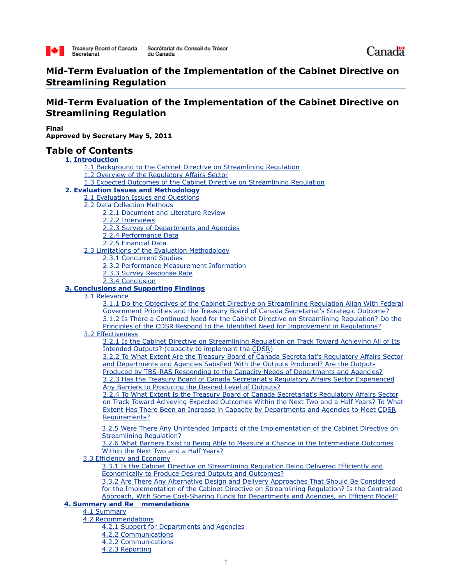

# **Mid-Term Evaluation of the Implementation of the Cabinet Directive on Streamlining Regulation**

# **Mid-Term Evaluation of the Implementation of the Cabinet Directive on Streamlining Regulation**

**Final Approved by Secretary May 5, 2011**

## **Table of Contents**

**1. Introduction**

- 1.1 Background to the Cabinet Directive on Streamlining Regulation
- 1.2 Overview of the Regulatory Affairs Sector
- 1.3 Expected Outcomes of the Cabinet Directive on Streamlining Regulation

## **2. Evaluation Issues and Methodology**

- 2.1 Evaluation Issues and Questions
- 2.2 Data Collection Methods
	- 2.2.1 Document and Literature Review
	- 2.2.2 Interviews
	- 2.2.3 Survey of Departments and Agencies
	- 2.2.4 Performance Data
	- 2.2.5 Financial Data
- 2.3 Limitations of the Evaluation Methodology
	- 2.3.1 Concurrent Studies
	- 2.3.2 Performance Measurement Information
	- 2.3.3 Survey Response Rate
	- 2.3.4 Conclusion

## **3. Conclusions and Supporting Findings**

3.1 Relevance

3.1.1 Do the Objectives of the Cabinet Directive on Streamlining Regulation Align With Federal Government Priorities and the Treasury Board of Canada Secretariat's Strategic Outcome? 3.1.2 Is There a Continued Need for the Cabinet Directive on Streamlining Regulation? Do the Principles of the CDSR Respond to the Identified Need for Improvement in Regulations?

3.2 Effectiveness

3.2.1 Is the Cabinet Directive on Streamlining Regulation on Track Toward Achieving All of Its Intended Outputs? (capacity to implement the CDSR)

3.2.2 To What Extent Are the Treasury Board of Canada Secretariat's Regulatory Affairs Sector and Departments and Agencies Satisfied With the Outputs Produced? Are the Outputs Produced by TBS-RAS Responding to the Capacity Needs of Departments and Agencies? 3.2.3 Has the Treasury Board of Canada Secretariat's Regulatory Affairs Sector Experienced Any Barriers to Producing the Desired Level of Outputs?

3.2.4 To What Extent Is the Treasury Board of Canada Secretariat's Regulatory Affairs Sector on Track Toward Achieving Expected Outcomes Within the Next Two and a Half Years? To What Extent Has There Been an Increase in Capacity by Departments and Agencies to Meet CDSR Requirements?

3.2.5 Were There Any Unintended Impacts of the Implementation of the Cabinet Directive on Streamlining Regulation?

3.2.6 What Barriers Exist to Being Able to Measure a Change in the Intermediate Outcomes Within the Next Two and a Half Years?

3.3 Efficiency and Economy

3.3.1 Is the Cabinet Directive on Streamlining Regulation Being Delivered Efficiently and Economically to Produce Desired Outputs and Outcomes?

3.3.2 Are There Any Alternative Design and Delivery Approaches That Should Be Considered for the Implementation of the Cabinet Directive on Streamlining Regulation? Is the Centralized Approach, With Some Cost-Sharing Funds for Departments and Agencies, an Efficient Model?

## **4. Summary and Re mmendations**

4.1 Summary

- 4.2 Recommendations
	- 4.2.1 Support for Departments and Agencies
	- 4.2.2 Communications
	- 4.2.2 Communications
	- 4.2.3 Reporting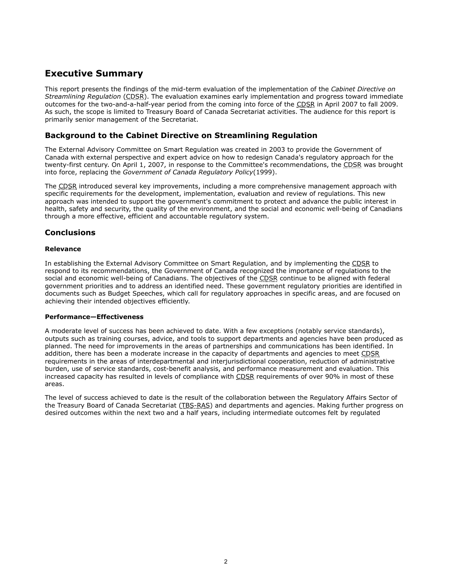# **Executive Summary**

This report presents the findings of the mid-term evaluation of the implementation of the *Cabinet Directive on Streamlining Regulation* (CDSR). The evaluation examines early implementation and progress toward immediate outcomes for the two-and-a-half-year period from the coming into force of the CDSR in April 2007 to fall 2009. As such, the scope is limited to Treasury Board of Canada Secretariat activities. The audience for this report is primarily senior management of the Secretariat.

## **Background to the Cabinet Directive on Streamlining Regulation**

The External Advisory Committee on Smart Regulation was created in 2003 to provide the Government of Canada with external perspective and expert advice on how to redesign Canada's regulatory approach for the twenty-first century. On April 1, 2007, in response to the Committee's recommendations, the CDSR was brought into force, replacing the *Government of Canada Regulatory Policy*(1999).

The CDSR introduced several key improvements, including a more comprehensive management approach with specific requirements for the development, implementation, evaluation and review of regulations. This new approach was intended to support the government's commitment to protect and advance the public interest in health, safety and security, the quality of the environment, and the social and economic well-being of Canadians through a more effective, efficient and accountable regulatory system.

## **Conclusions**

## **Relevance**

In establishing the External Advisory Committee on Smart Regulation, and by implementing the CDSR to respond to its recommendations, the Government of Canada recognized the importance of regulations to the social and economic well-being of Canadians. The objectives of the CDSR continue to be aligned with federal government priorities and to address an identified need. These government regulatory priorities are identified in documents such as Budget Speeches, which call for regulatory approaches in specific areas, and are focused on achieving their intended objectives efficiently.

## **Performance—Effectiveness**

A moderate level of success has been achieved to date. With a few exceptions (notably service standards), outputs such as training courses, advice, and tools to support departments and agencies have been produced as planned. The need for improvements in the areas of partnerships and communications has been identified. In addition, there has been a moderate increase in the capacity of departments and agencies to meet CDSR requirements in the areas of interdepartmental and interjurisdictional cooperation, reduction of administrative burden, use of service standards, cost-benefit analysis, and performance measurement and evaluation. This increased capacity has resulted in levels of compliance with CDSR requirements of over 90% in most of these areas.

The level of success achieved to date is the result of the collaboration between the Regulatory Affairs Sector of the Treasury Board of Canada Secretariat (TBS-RAS) and departments and agencies. Making further progress on desired outcomes within the next two and a half years, including intermediate outcomes felt by regulated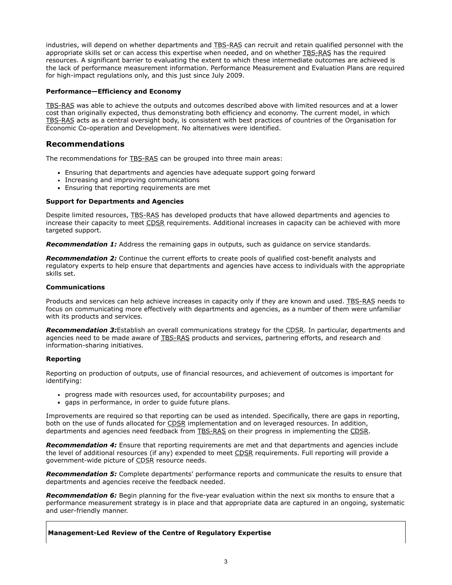industries, will depend on whether departments and TBS-RAS can recruit and retain qualified personnel with the appropriate skills set or can access this expertise when needed, and on whether TBS-RAS has the required resources. A significant barrier to evaluating the extent to which these intermediate outcomes are achieved is the lack of performance measurement information. Performance Measurement and Evaluation Plans are required for high-impact regulations only, and this just since July 2009.

## **Performance—Efficiency and Economy**

TBS-RAS was able to achieve the outputs and outcomes described above with limited resources and at a lower cost than originally expected, thus demonstrating both efficiency and economy. The current model, in which TBS-RAS acts as a central oversight body, is consistent with best practices of countries of the Organisation for Economic Co-operation and Development. No alternatives were identified.

## **Recommendations**

The recommendations for TBS-RAS can be grouped into three main areas:

- Ensuring that departments and agencies have adequate support going forward
- Increasing and improving communications
- **Ensuring that reporting requirements are met**

#### **Support for Departments and Agencies**

Despite limited resources, TBS-RAS has developed products that have allowed departments and agencies to increase their capacity to meet CDSR requirements. Additional increases in capacity can be achieved with more targeted support.

**Recommendation 1:** Address the remaining gaps in outputs, such as guidance on service standards.

*Recommendation 2:* Continue the current efforts to create pools of qualified cost-benefit analysts and regulatory experts to help ensure that departments and agencies have access to individuals with the appropriate skills set.

#### **Communications**

Products and services can help achieve increases in capacity only if they are known and used. TBS-RAS needs to focus on communicating more effectively with departments and agencies, as a number of them were unfamiliar with its products and services.

**Recommendation 3:**Establish an overall communications strategy for the CDSR. In particular, departments and agencies need to be made aware of TBS-RAS products and services, partnering efforts, and research and information-sharing initiatives.

## **Reporting**

Reporting on production of outputs, use of financial resources, and achievement of outcomes is important for identifying:

- progress made with resources used, for accountability purposes; and
- gaps in performance, in order to guide future plans.

Improvements are required so that reporting can be used as intended. Specifically, there are gaps in reporting, both on the use of funds allocated for CDSR implementation and on leveraged resources. In addition, departments and agencies need feedback from TBS-RAS on their progress in implementing the CDSR.

*Recommendation 4:* Ensure that reporting requirements are met and that departments and agencies include the level of additional resources (if any) expended to meet CDSR requirements. Full reporting will provide a government-wide picture of CDSR resource needs.

**Recommendation 5:** Complete departments' performance reports and communicate the results to ensure that departments and agencies receive the feedback needed.

**Recommendation 6:** Begin planning for the five-year evaluation within the next six months to ensure that a performance measurement strategy is in place and that appropriate data are captured in an ongoing, systematic and user-friendly manner.

**Management-Led Review of the Centre of Regulatory Expertise**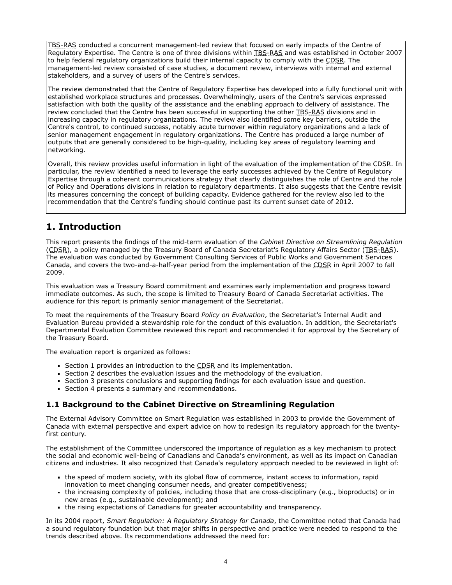TBS-RAS conducted a concurrent management-led review that focused on early impacts of the Centre of Regulatory Expertise. The Centre is one of three divisions within TBS-RAS and was established in October 2007 to help federal regulatory organizations build their internal capacity to comply with the CDSR. The management-led review consisted of case studies, a document review, interviews with internal and external stakeholders, and a survey of users of the Centre's services.

The review demonstrated that the Centre of Regulatory Expertise has developed into a fully functional unit with established workplace structures and processes. Overwhelmingly, users of the Centre's services expressed satisfaction with both the quality of the assistance and the enabling approach to delivery of assistance. The review concluded that the Centre has been successful in supporting the other TBS-RAS divisions and in increasing capacity in regulatory organizations. The review also identified some key barriers, outside the Centre's control, to continued success, notably acute turnover within regulatory organizations and a lack of senior management engagement in regulatory organizations. The Centre has produced a large number of outputs that are generally considered to be high-quality, including key areas of regulatory learning and networking.

Overall, this review provides useful information in light of the evaluation of the implementation of the CDSR. In particular, the review identified a need to leverage the early successes achieved by the Centre of Regulatory Expertise through a coherent communications strategy that clearly distinguishes the role of Centre and the role of Policy and Operations divisions in relation to regulatory departments. It also suggests that the Centre revisit its measures concerning the concept of building capacity. Evidence gathered for the review also led to the recommendation that the Centre's funding should continue past its current sunset date of 2012.

# **1. Introduction**

This report presents the findings of the mid-term evaluation of the *Cabinet Directive on Streamlining Regulation* (CDSR), a policy managed by the Treasury Board of Canada Secretariat's Regulatory Affairs Sector (TBS-RAS). The evaluation was conducted by Government Consulting Services of Public Works and Government Services Canada, and covers the two-and-a-half-year period from the implementation of the CDSR in April 2007 to fall 2009.

This evaluation was a Treasury Board commitment and examines early implementation and progress toward immediate outcomes. As such, the scope is limited to Treasury Board of Canada Secretariat activities. The audience for this report is primarily senior management of the Secretariat.

To meet the requirements of the Treasury Board *Policy on Evaluation*, the Secretariat's Internal Audit and Evaluation Bureau provided a stewardship role for the conduct of this evaluation. In addition, the Secretariat's Departmental Evaluation Committee reviewed this report and recommended it for approval by the Secretary of the Treasury Board.

The evaluation report is organized as follows:

- Section 1 provides an introduction to the CDSR and its implementation.
- Section 2 describes the evaluation issues and the methodology of the evaluation.
- Section 3 presents conclusions and supporting findings for each evaluation issue and question.
- Section 4 presents a summary and recommendations.

## **1.1 Background to the Cabinet Directive on Streamlining Regulation**

The External Advisory Committee on Smart Regulation was established in 2003 to provide the Government of Canada with external perspective and expert advice on how to redesign its regulatory approach for the twentyfirst century.

The establishment of the Committee underscored the importance of regulation as a key mechanism to protect the social and economic well-being of Canadians and Canada's environment, as well as its impact on Canadian citizens and industries. It also recognized that Canada's regulatory approach needed to be reviewed in light of:

- the speed of modern society, with its global flow of commerce, instant access to information, rapid innovation to meet changing consumer needs, and greater competitiveness;
- the increasing complexity of policies, including those that are cross-disciplinary (e.g., bioproducts) or in new areas (e.g., sustainable development); and
- the rising expectations of Canadians for greater accountability and transparency.

In its 2004 report, *Smart Regulation: A Regulatory Strategy for Canada*, the Committee noted that Canada had a sound regulatory foundation but that major shifts in perspective and practice were needed to respond to the trends described above. Its recommendations addressed the need for: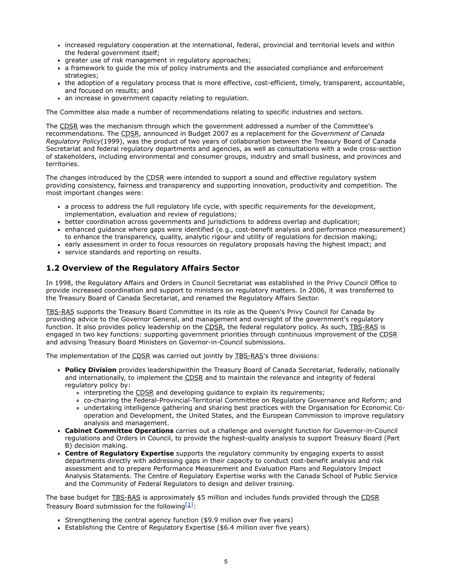- increased regulatory cooperation at the international, federal, provincial and territorial levels and within the federal government itself;
- greater use of risk management in regulatory approaches;
- a framework to guide the mix of policy instruments and the associated compliance and enforcement strategies;
- the adoption of a regulatory process that is more effective, cost-efficient, timely, transparent, accountable, and focused on results; and
- an increase in government capacity relating to regulation.

The Committee also made a number of recommendations relating to specific industries and sectors.

The CDSR was the mechanism through which the government addressed a number of the Committee's recommendations. The CDSR, announced in Budget 2007 as a replacement for the *Government of Canada Regulatory Policy*(1999), was the product of two years of collaboration between the Treasury Board of Canada Secretariat and federal regulatory departments and agencies, as well as consultations with a wide cross-section of stakeholders, including environmental and consumer groups, industry and small business, and provinces and territories.

The changes introduced by the CDSR were intended to support a sound and effective regulatory system providing consistency, fairness and transparency and supporting innovation, productivity and competition. The most important changes were:

- a process to address the full regulatory life cycle, with specific requirements for the development, implementation, evaluation and review of regulations;
- better coordination across governments and jurisdictions to address overlap and duplication;
- enhanced guidance where gaps were identified (e.g., cost-benefit analysis and performance measurement) to enhance the transparency, quality, analytic rigour and utility of regulations for decision making;
- early assessment in order to focus resources on regulatory proposals having the highest impact; and
- service standards and reporting on results.

## **1.2 Overview of the Regulatory Affairs Sector**

In 1998, the Regulatory Affairs and Orders in Council Secretariat was established in the Privy Council Office to provide increased coordination and support to ministers on regulatory matters. In 2006, it was transferred to the Treasury Board of Canada Secretariat, and renamed the Regulatory Affairs Sector.

TBS-RAS supports the Treasury Board Committee in its role as the Queen's Privy Council for Canada by providing advice to the Governor General, and management and oversight of the government's regulatory function. It also provides policy leadership on the CDSR, the federal regulatory policy. As such, TBS-RAS is engaged in two key functions: supporting government priorities through continuous improvement of the CDSR and advising Treasury Board Ministers on Governor-in-Council submissions.

The implementation of the CDSR was carried out jointly by TBS-RAS's three divisions:

- **Policy Division** provides leadershipwithin the Treasury Board of Canada Secretariat, federally, nationally and internationally, to implement the CDSR and to maintain the relevance and integrity of federal regulatory policy by:
	- o interpreting the CDSR and developing guidance to explain its requirements;
	- co-chairing the Federal-Provincial-Territorial Committee on Regulatory Governance and Reform; and
	- undertaking intelligence gathering and sharing best practices with the Organisation for Economic Cooperation and Development, the United States, and the European Commission to improve regulatory analysis and management.
- **Cabinet Committee Operations** carries out a challenge and oversight function for Governor-in-Council regulations and Orders in Council, to provide the highest-quality analysis to support Treasury Board (Part B) decision making.
- **Centre of Regulatory Expertise** supports the regulatory community by engaging experts to assist departments directly with addressing gaps in their capacity to conduct cost-benefit analysis and risk assessment and to prepare Performance Measurement and Evaluation Plans and Regulatory Impact Analysis Statements. The Centre of Regulatory Expertise works with the Canada School of Public Service and the Community of Federal Regulators to design and deliver training.

The base budget for **TBS-RAS** is approximately \$5 million and includes funds provided through the CDSR Treasury Board submission for the following  $[1]$ :

- Strengthening the central agency function (\$9.9 million over five years)
- Establishing the Centre of Regulatory Expertise (\$6.4 million over five years)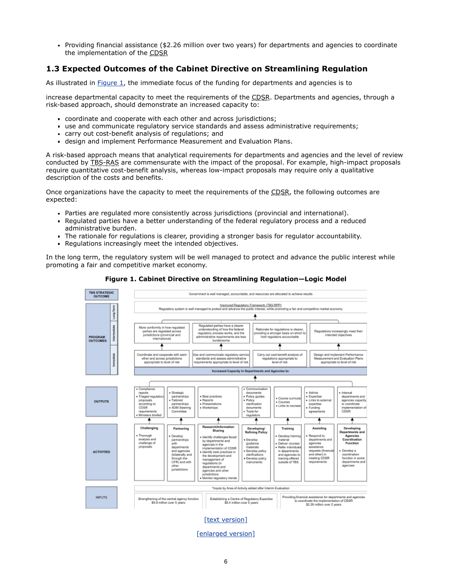Providing financial assistance (\$2.26 million over two years) for departments and agencies to coordinate the implementation of the CDSR

## **1.3 Expected Outcomes of the Cabinet Directive on Streamlining Regulation**

As illustrated in [Figure 1,](#page-7-0) the immediate focus of the funding for departments and agencies is to

increase departmental capacity to meet the requirements of the CDSR. Departments and agencies, through a risk-based approach, should demonstrate an increased capacity to:

- coordinate and cooperate with each other and across jurisdictions;
- use and communicate regulatory service standards and assess administrative requirements;
- carry out cost-benefit analysis of regulations; and  $\blacksquare$
- design and implement Performance Measurement and Evaluation Plans.

A risk-based approach means that analytical requirements for departments and agencies and the level of review conducted by TBS-RAS are commensurate with the impact of the proposal. For example, high-impact proposals require quantitative cost-benefit analysis, whereas low-impact proposals may require only a qualitative description of the costs and benefits.

Once organizations have the capacity to meet the requirements of the CDSR, the following outcomes are expected:

- Parties are regulated more consistently across jurisdictions (provincial and international).
- Regulated parties have a better understanding of the federal regulatory process and a reduced administrative burden.
- The rationale for regulations is clearer, providing a stronger basis for regulator accountability.
- Regulations increasingly meet the intended objectives.

In the long term, the regulatory system will be well managed to protect and advance the public interest while promoting a fair and competitive market economy.

<span id="page-7-0"></span>

**Figure 1. Cabinet Directive on Streamlining Regulation—Logic Model**

[\[enlarged version\]](http://www.tbs-sct.gc.ca/report/orp/2011/images/cdsr-dcrr-eng-large.jpg)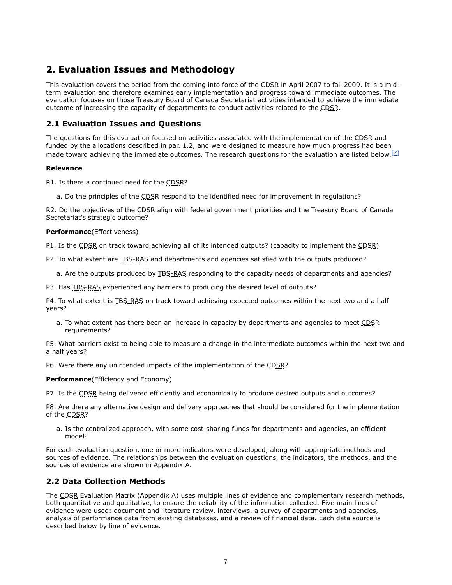# **2. Evaluation Issues and Methodology**

This evaluation covers the period from the coming into force of the CDSR in April 2007 to fall 2009. It is a midterm evaluation and therefore examines early implementation and progress toward immediate outcomes. The evaluation focuses on those Treasury Board of Canada Secretariat activities intended to achieve the immediate outcome of increasing the capacity of departments to conduct activities related to the CDSR.

## **2.1 Evaluation Issues and Questions**

The questions for this evaluation focused on activities associated with the implementation of the CDSR and funded by the allocations described in par. 1.2, and were designed to measure how much progress had been made toward achieving the immediate outcomes. The research questions for the evaluation are listed below.  $[2]$ 

## **Relevance**

R1. Is there a continued need for the CDSR?

a. Do the principles of the CDSR respond to the identified need for improvement in regulations?

R2. Do the objectives of the CDSR align with federal government priorities and the Treasury Board of Canada Secretariat's strategic outcome?

## **Performance**(Effectiveness)

P1. Is the CDSR on track toward achieving all of its intended outputs? (capacity to implement the CDSR)

P2. To what extent are TBS-RAS and departments and agencies satisfied with the outputs produced?

a. Are the outputs produced by TBS-RAS responding to the capacity needs of departments and agencies?

P3. Has TBS-RAS experienced any barriers to producing the desired level of outputs?

P4. To what extent is TBS-RAS on track toward achieving expected outcomes within the next two and a half years?

a. To what extent has there been an increase in capacity by departments and agencies to meet CDSR requirements?

P5. What barriers exist to being able to measure a change in the intermediate outcomes within the next two and a half years?

P6. Were there any unintended impacts of the implementation of the CDSR?

**Performance**(Efficiency and Economy)

P7. Is the CDSR being delivered efficiently and economically to produce desired outputs and outcomes?

P8. Are there any alternative design and delivery approaches that should be considered for the implementation of the CDSR?

a. Is the centralized approach, with some cost-sharing funds for departments and agencies, an efficient model?

For each evaluation question, one or more indicators were developed, along with appropriate methods and sources of evidence. The relationships between the evaluation questions, the indicators, the methods, and the sources of evidence are shown in Appendix A.

## **2.2 Data Collection Methods**

The CDSR Evaluation Matrix (Appendix A) uses multiple lines of evidence and complementary research methods, both quantitative and qualitative, to ensure the reliability of the information collected. Five main lines of evidence were used: document and literature review, interviews, a survey of departments and agencies, analysis of performance data from existing databases, and a review of financial data. Each data source is described below by line of evidence.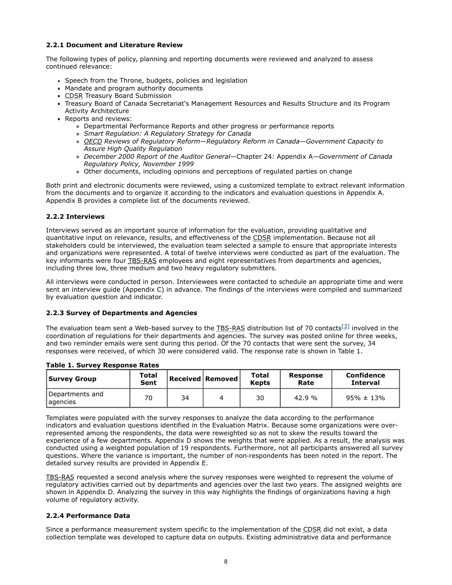## **2.2.1 Document and Literature Review**

The following types of policy, planning and reporting documents were reviewed and analyzed to assess continued relevance:

- Speech from the Throne, budgets, policies and legislation
- Mandate and program authority documents
- CDSR Treasury Board Submission
- Treasury Board of Canada Secretariat's Management Resources and Results Structure and its Program Activity Architecture
- Reports and reviews:
	- Departmental Performance Reports and other progress or performance reports
	- *Smart Regulation: A Regulatory Strategy for Canada*
	- *OECD Reviews of Regulatory Reform*—*Regulatory Reform in Canada*—*Government Capacity to Assure High Quality Regulation*
	- *December 2000 Report of the Auditor General*—Chapter 24: Appendix A*—Government of Canada Regulatory Policy, November 1999*
	- Other documents, including opinions and perceptions of regulated parties on change

Both print and electronic documents were reviewed, using a customized template to extract relevant information from the documents and to organize it according to the indicators and evaluation questions in Appendix A. Appendix B provides a complete list of the documents reviewed.

## **2.2.2 Interviews**

Interviews served as an important source of information for the evaluation, providing qualitative and quantitative input on relevance, results, and effectiveness of the CDSR implementation. Because not all stakeholders could be interviewed, the evaluation team selected a sample to ensure that appropriate interests and organizations were represented. A total of twelve interviews were conducted as part of the evaluation. The key informants were four TBS-RAS employees and eight representatives from departments and agencies, including three low, three medium and two heavy regulatory submitters.

All interviews were conducted in person. Interviewees were contacted to schedule an appropriate time and were sent an interview guide (Appendix C) in advance. The findings of the interviews were compiled and summarized by evaluation question and indicator.

## **2.2.3 Survey of Departments and Agencies**

The evaluation team sent a Web-based survey to the TBS-RAS distribution list of 70 contacts<sup>[\[3\]](http://www.tbs-sct.gc.ca/report/orp/2011/cdsr-dcrr04-eng.asp#ftn3)</sup> involved in the coordination of regulations for their departments and agencies. The survey was posted online for three weeks, and two reminder emails were sent during this period. Of the 70 contacts that were sent the survey, 34 responses were received, of which 30 were considered valid. The response rate is shown in Table 1.

| Survey Group                 | Total<br>Sent |    | Received   Removed | Total<br><b>Kepts</b> | Response<br>Rate | Confidence<br><b>Interval</b> |
|------------------------------|---------------|----|--------------------|-----------------------|------------------|-------------------------------|
| Departments and<br>lagencies | 70            | 34 |                    | 30                    | 42.9 %           | $95\% \pm 13\%$               |

**Table 1. Survey Response Rates**

Templates were populated with the survey responses to analyze the data according to the performance indicators and evaluation questions identified in the Evaluation Matrix. Because some organizations were overrepresented among the respondents, the data were reweighted so as not to skew the results toward the experience of a few departments. Appendix D shows the weights that were applied. As a result, the analysis was conducted using a weighted population of 19 respondents. Furthermore, not all participants answered all survey questions. Where the variance is important, the number of non-respondents has been noted in the report. The detailed survey results are provided in Appendix E.

TBS-RAS requested a second analysis where the survey responses were weighted to represent the volume of regulatory activities carried out by departments and agencies over the last two years. The assigned weights are shown in Appendix D. Analyzing the survey in this way highlights the findings of organizations having a high volume of regulatory activity.

## **2.2.4 Performance Data**

Since a performance measurement system specific to the implementation of the CDSR did not exist, a data collection template was developed to capture data on outputs. Existing administrative data and performance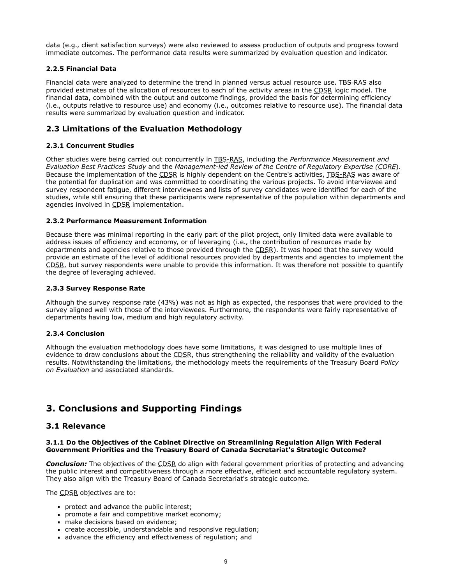data (e.g., client satisfaction surveys) were also reviewed to assess production of outputs and progress toward immediate outcomes. The performance data results were summarized by evaluation question and indicator.

## **2.2.5 Financial Data**

Financial data were analyzed to determine the trend in planned versus actual resource use. TBS‑RAS also provided estimates of the allocation of resources to each of the activity areas in the CDSR logic model. The financial data, combined with the output and outcome findings, provided the basis for determining efficiency (i.e., outputs relative to resource use) and economy (i.e., outcomes relative to resource use). The financial data results were summarized by evaluation question and indicator.

## **2.3 Limitations of the Evaluation Methodology**

## **2.3.1 Concurrent Studies**

Other studies were being carried out concurrently in TBS-RAS, including the *Performance Measurement and Evaluation Best Practices Study* and the *Management-led Review of the Centre of Regulatory Expertise (CORE*). Because the implementation of the CDSR is highly dependent on the Centre's activities, TBS-RAS was aware of the potential for duplication and was committed to coordinating the various projects. To avoid interviewee and survey respondent fatigue, different interviewees and lists of survey candidates were identified for each of the studies, while still ensuring that these participants were representative of the population within departments and agencies involved in CDSR implementation.

## **2.3.2 Performance Measurement Information**

Because there was minimal reporting in the early part of the pilot project, only limited data were available to address issues of efficiency and economy, or of leveraging (i.e., the contribution of resources made by departments and agencies relative to those provided through the CDSR). It was hoped that the survey would provide an estimate of the level of additional resources provided by departments and agencies to implement the CDSR, but survey respondents were unable to provide this information. It was therefore not possible to quantify the degree of leveraging achieved.

## **2.3.3 Survey Response Rate**

Although the survey response rate (43%) was not as high as expected, the responses that were provided to the survey aligned well with those of the interviewees. Furthermore, the respondents were fairly representative of departments having low, medium and high regulatory activity.

## **2.3.4 Conclusion**

Although the evaluation methodology does have some limitations, it was designed to use multiple lines of evidence to draw conclusions about the CDSR, thus strengthening the reliability and validity of the evaluation results. Notwithstanding the limitations, the methodology meets the requirements of the Treasury Board *Policy on Evaluation* and associated standards.

# **3. Conclusions and Supporting Findings**

## **3.1 Relevance**

## **3.1.1 Do the Objectives of the Cabinet Directive on Streamlining Regulation Align With Federal Government Priorities and the Treasury Board of Canada Secretariat's Strategic Outcome?**

*Conclusion:* The objectives of the CDSR do align with federal government priorities of protecting and advancing the public interest and competitiveness through a more effective, efficient and accountable regulatory system. They also align with the Treasury Board of Canada Secretariat's strategic outcome.

The CDSR objectives are to:

- protect and advance the public interest;
- promote a fair and competitive market economy;
- make decisions based on evidence;
- create accessible, understandable and responsive regulation;
- advance the efficiency and effectiveness of regulation; and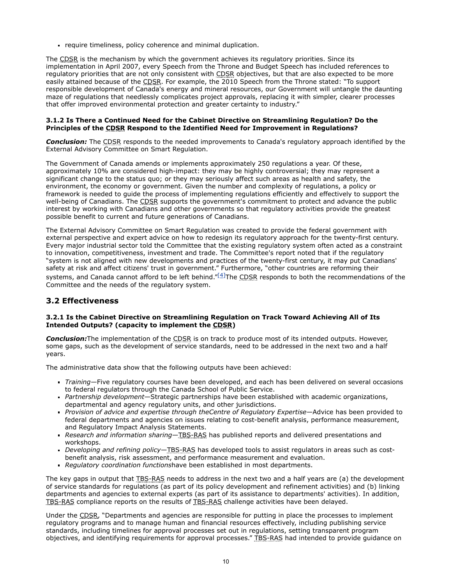require timeliness, policy coherence and minimal duplication.

The CDSR is the mechanism by which the government achieves its regulatory priorities. Since its implementation in April 2007, every Speech from the Throne and Budget Speech has included references to regulatory priorities that are not only consistent with CDSR objectives, but that are also expected to be more easily attained because of the CDSR. For example, the 2010 Speech from the Throne stated: "To support responsible development of Canada's energy and mineral resources, our Government will untangle the daunting maze of regulations that needlessly complicates project approvals, replacing it with simpler, clearer processes that offer improved environmental protection and greater certainty to industry."

## **3.1.2 Is There a Continued Need for the Cabinet Directive on Streamlining Regulation? Do the Principles of the CDSR Respond to the Identified Need for Improvement in Regulations?**

**Conclusion:** The CDSR responds to the needed improvements to Canada's regulatory approach identified by the External Advisory Committee on Smart Regulation.

The Government of Canada amends or implements approximately 250 regulations a year. Of these, approximately 10% are considered high-impact: they may be highly controversial; they may represent a significant change to the status quo; or they may seriously affect such areas as health and safety, the environment, the economy or government. Given the number and complexity of regulations, a policy or framework is needed to guide the process of implementing regulations efficiently and effectively to support the well-being of Canadians. The CDSR supports the government's commitment to protect and advance the public interest by working with Canadians and other governments so that regulatory activities provide the greatest possible benefit to current and future generations of Canadians.

The External Advisory Committee on Smart Regulation was created to provide the federal government with external perspective and expert advice on how to redesign its regulatory approach for the twenty-first century. Every major industrial sector told the Committee that the existing regulatory system often acted as a constraint to innovation, competitiveness, investment and trade. The Committee's report noted that if the regulatory "system is not aligned with new developments and practices of the twenty-first century, it may put Canadians' safety at risk and affect citizens' trust in government." Furthermore, "other countries are reforming their systems, and Canada cannot afford to be left behind."<sup>[\[4\]](http://www.tbs-sct.gc.ca/report/orp/2011/cdsr-dcrr04-eng.asp#ftn4)</sup>The CDSR responds to both the recommendations of the Committee and the needs of the regulatory system.

## **3.2 Effectiveness**

## **3.2.1 Is the Cabinet Directive on Streamlining Regulation on Track Toward Achieving All of Its Intended Outputs? (capacity to implement the CDSR)**

**Conclusion:**The implementation of the CDSR is on track to produce most of its intended outputs. However, some gaps, such as the development of service standards, need to be addressed in the next two and a half years.

The administrative data show that the following outputs have been achieved:

- *Training*—Five regulatory courses have been developed, and each has been delivered on several occasions to federal regulators through the Canada School of Public Service.
- *Partnership development*—Strategic partnerships have been established with academic organizations, departmental and agency regulatory units, and other jurisdictions.
- *Provision of advice and expertise through theCentre of Regulatory Expertise*—Advice has been provided to federal departments and agencies on issues relating to cost-benefit analysis, performance measurement, and Regulatory Impact Analysis Statements.
- *Research and information sharing*—TBS-RAS has published reports and delivered presentations and workshops.
- *Developing and refining policy*—TBS-RAS has developed tools to assist regulators in areas such as costbenefit analysis, risk assessment, and performance measurement and evaluation.
- *Regulatory coordination functions*have been established in most departments.

The key gaps in output that TBS-RAS needs to address in the next two and a half years are (a) the development of service standards for regulations (as part of its policy development and refinement activities) and (b) linking departments and agencies to external experts (as part of its assistance to departments' activities). In addition, TBS-RAS compliance reports on the results of TBS-RAS challenge activities have been delayed.

Under the CDSR, "Departments and agencies are responsible for putting in place the processes to implement regulatory programs and to manage human and financial resources effectively, including publishing service standards, including timelines for approval processes set out in regulations, setting transparent program objectives, and identifying requirements for approval processes." TBS-RAS had intended to provide guidance on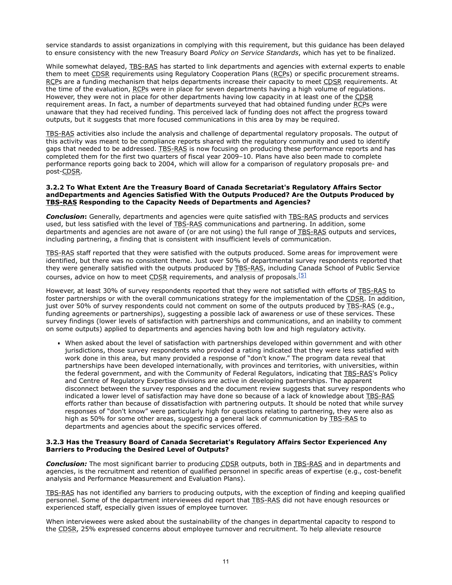service standards to assist organizations in complying with this requirement, but this guidance has been delayed to ensure consistency with the new Treasury Board *Policy on Service Standards*, which has yet to be finalized.

While somewhat delayed, TBS-RAS has started to link departments and agencies with external experts to enable them to meet CDSR requirements using Regulatory Cooperation Plans (RCPs) or specific procurement streams. RCPs are a funding mechanism that helps departments increase their capacity to meet CDSR requirements. At the time of the evaluation, RCPs were in place for seven departments having a high volume of regulations. However, they were not in place for other departments having low capacity in at least one of the CDSR requirement areas. In fact, a number of departments surveyed that had obtained funding under RCPs were unaware that they had received funding. This perceived lack of funding does not affect the progress toward outputs, but it suggests that more focused communications in this area by may be required.

TBS-RAS activities also include the analysis and challenge of departmental regulatory proposals. The output of this activity was meant to be compliance reports shared with the regulatory community and used to identify gaps that needed to be addressed. TBS-RAS is now focusing on producing these performance reports and has completed them for the first two quarters of fiscal year 2009–10. Plans have also been made to complete performance reports going back to 2004, which will allow for a comparison of regulatory proposals pre- and post-CDSR.

#### **3.2.2 To What Extent Are the Treasury Board of Canada Secretariat's Regulatory Affairs Sector andDepartments and Agencies Satisfied With the Outputs Produced? Are the Outputs Produced by TBS-RAS Responding to the Capacity Needs of Departments and Agencies?**

**Conclusion:** Generally, departments and agencies were quite satisfied with TBS-RAS products and services used, but less satisfied with the level of TBS-RAS communications and partnering. In addition, some departments and agencies are not aware of (or are not using) the full range of TBS-RAS outputs and services, including partnering, a finding that is consistent with insufficient levels of communication.

TBS-RAS staff reported that they were satisfied with the outputs produced. Some areas for improvement were identified, but there was no consistent theme. Just over 50% of departmental survey respondents reported that they were generally satisfied with the outputs produced by TBS-RAS, including Canada School of Public Service courses, advice on how to meet CDSR requirements, and analysis of proposals.<sup>[\[5\]](http://www.tbs-sct.gc.ca/report/orp/2011/cdsr-dcrr04-eng.asp#ftn5)</sup>

However, at least 30% of survey respondents reported that they were not satisfied with efforts of TBS-RAS to foster partnerships or with the overall communications strategy for the implementation of the CDSR. In addition, just over 50% of survey respondents could not comment on some of the outputs produced by TBS-RAS (e.g., funding agreements or partnerships), suggesting a possible lack of awareness or use of these services. These survey findings (lower levels of satisfaction with partnerships and communications, and an inability to comment on some outputs) applied to departments and agencies having both low and high regulatory activity.

When asked about the level of satisfaction with partnerships developed within government and with other jurisdictions, those survey respondents who provided a rating indicated that they were less satisfied with work done in this area, but many provided a response of "don't know." The program data reveal that partnerships have been developed internationally, with provinces and territories, with universities, within the federal government, and with the Community of Federal Regulators, indicating that TBS-RAS's Policy and Centre of Regulatory Expertise divisions are active in developing partnerships. The apparent disconnect between the survey responses and the document review suggests that survey respondents who indicated a lower level of satisfaction may have done so because of a lack of knowledge about TBS-RAS efforts rather than because of dissatisfaction with partnering outputs. It should be noted that while survey responses of "don't know" were particularly high for questions relating to partnering, they were also as high as 50% for some other areas, suggesting a general lack of communication by TBS-RAS to departments and agencies about the specific services offered.

#### **3.2.3 Has the Treasury Board of Canada Secretariat's Regulatory Affairs Sector Experienced Any Barriers to Producing the Desired Level of Outputs?**

**Conclusion:** The most significant barrier to producing CDSR outputs, both in TBS-RAS and in departments and agencies, is the recruitment and retention of qualified personnel in specific areas of expertise (e.g., cost-benefit analysis and Performance Measurement and Evaluation Plans).

TBS-RAS has not identified any barriers to producing outputs, with the exception of finding and keeping qualified personnel. Some of the department interviewees did report that TBS-RAS did not have enough resources or experienced staff, especially given issues of employee turnover.

When interviewees were asked about the sustainability of the changes in departmental capacity to respond to the CDSR, 25% expressed concerns about employee turnover and recruitment. To help alleviate resource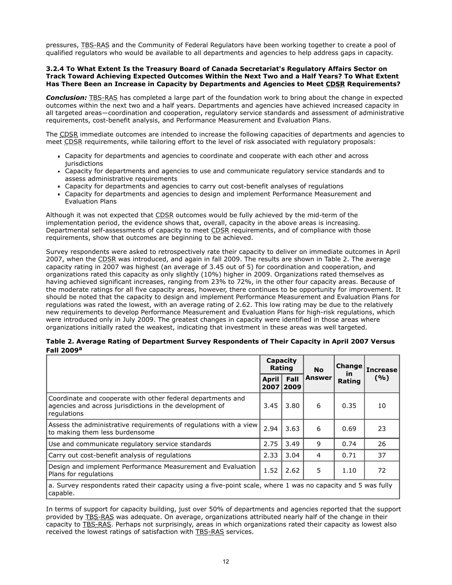pressures, TBS-RAS and the Community of Federal Regulators have been working together to create a pool of qualified regulators who would be available to all departments and agencies to help address gaps in capacity.

#### **3.2.4 To What Extent Is the Treasury Board of Canada Secretariat's Regulatory Affairs Sector on Track Toward Achieving Expected Outcomes Within the Next Two and a Half Years? To What Extent Has There Been an Increase in Capacity by Departments and Agencies to Meet CDSR Requirements?**

*Conclusion:* TBS-RAS has completed a large part of the foundation work to bring about the change in expected outcomes within the next two and a half years. Departments and agencies have achieved increased capacity in all targeted areas―coordination and cooperation, regulatory service standards and assessment of administrative requirements, cost-benefit analysis, and Performance Measurement and Evaluation Plans.

The CDSR immediate outcomes are intended to increase the following capacities of departments and agencies to meet CDSR requirements, while tailoring effort to the level of risk associated with regulatory proposals:

- Capacity for departments and agencies to coordinate and cooperate with each other and across jurisdictions
- Capacity for departments and agencies to use and communicate regulatory service standards and to assess administrative requirements
- Capacity for departments and agencies to carry out cost-benefit analyses of regulations
- Capacity for departments and agencies to design and implement Performance Measurement and Evaluation Plans

Although it was not expected that CDSR outcomes would be fully achieved by the mid-term of the implementation period, the evidence shows that, overall, capacity in the above areas is increasing. Departmental self-assessments of capacity to meet CDSR requirements, and of compliance with those requirements, show that outcomes are beginning to be achieved.

Survey respondents were asked to retrospectively rate their capacity to deliver on immediate outcomes in April 2007, when the CDSR was introduced, and again in fall 2009. The results are shown in Table 2. The average capacity rating in 2007 was highest (an average of 3.45 out of 5) for coordination and cooperation, and organizations rated this capacity as only slightly (10%) higher in 2009. Organizations rated themselves as having achieved significant increases, ranging from 23% to 72%, in the other four capacity areas. Because of the moderate ratings for all five capacity areas, however, there continues to be opportunity for improvement. It should be noted that the capacity to design and implement Performance Measurement and Evaluation Plans for regulations was rated the lowest, with an average rating of 2.62. This low rating may be due to the relatively new requirements to develop Performance Measurement and Evaluation Plans for high-risk regulations, which were introduced only in July 2009. The greatest changes in capacity were identified in those areas where organizations initially rated the weakest, indicating that investment in these areas was well targeted.

| Table 2. Average Rating of Department Survey Respondents of Their Capacity in April 2007 Versus |  |
|-------------------------------------------------------------------------------------------------|--|
| Fall 2009 <sup>a</sup>                                                                          |  |

|                                                                                                                                       |                      | Capacity<br>Rating | <b>No</b>     | Change<br><b>in</b><br>Rating | <b>Increase</b><br>(%) |
|---------------------------------------------------------------------------------------------------------------------------------------|----------------------|--------------------|---------------|-------------------------------|------------------------|
|                                                                                                                                       | <b>April</b><br>2007 | Fall<br>2009       | <b>Answer</b> |                               |                        |
| Coordinate and cooperate with other federal departments and<br>agencies and across jurisdictions in the development of<br>regulations | 3.45                 | 3.80               | 6             | 0.35                          | 10                     |
| Assess the administrative requirements of regulations with a view<br>to making them less burdensome                                   | 2.94                 | 3.63               | 6             | 0.69                          | 23                     |
| Use and communicate regulatory service standards                                                                                      | 2.75                 | 3.49               | 9             | 0.74                          | 26                     |
| Carry out cost-benefit analysis of regulations                                                                                        | 2.33                 | 3.04               | 4             | 0.71                          | 37                     |
| Design and implement Performance Measurement and Evaluation<br>Plans for regulations                                                  | 1.52                 | 2.62               | 5             | 1.10                          | 72                     |
| a. Survey respondents rated their capacity using a five-point scale, where 1 was no capacity and 5 was fully<br>capable.              |                      |                    |               |                               |                        |

In terms of support for capacity building, just over 50% of departments and agencies reported that the support provided by TBS-RAS was adequate. On average, organizations attributed nearly half of the change in their capacity to TBS-RAS. Perhaps not surprisingly, areas in which organizations rated their capacity as lowest also received the lowest ratings of satisfaction with TBS-RAS services.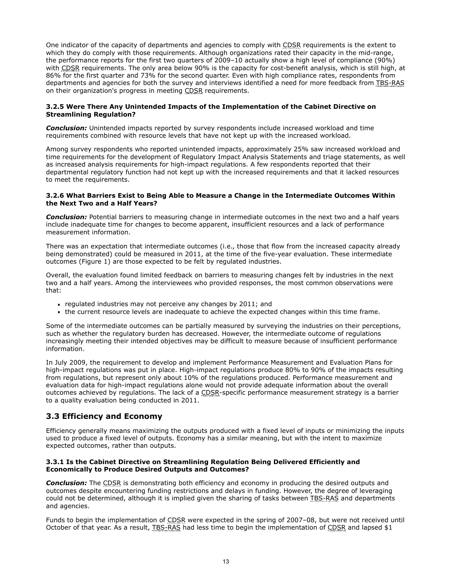One indicator of the capacity of departments and agencies to comply with CDSR requirements is the extent to which they do comply with those requirements. Although organizations rated their capacity in the mid-range, the performance reports for the first two quarters of 2009–10 actually show a high level of compliance (90%) with CDSR requirements. The only area below 90% is the capacity for cost-benefit analysis, which is still high, at 86% for the first quarter and 73% for the second quarter. Even with high compliance rates, respondents from departments and agencies for both the survey and interviews identified a need for more feedback from TBS-RAS on their organization's progress in meeting CDSR requirements.

## **3.2.5 Were There Any Unintended Impacts of the Implementation of the Cabinet Directive on Streamlining Regulation?**

*Conclusion:* Unintended impacts reported by survey respondents include increased workload and time requirements combined with resource levels that have not kept up with the increased workload.

Among survey respondents who reported unintended impacts, approximately 25% saw increased workload and time requirements for the development of Regulatory Impact Analysis Statements and triage statements, as well as increased analysis requirements for high-impact regulations. A few respondents reported that their departmental regulatory function had not kept up with the increased requirements and that it lacked resources to meet the requirements.

#### **3.2.6 What Barriers Exist to Being Able to Measure a Change in the Intermediate Outcomes Within the Next Two and a Half Years?**

*Conclusion:* Potential barriers to measuring change in intermediate outcomes in the next two and a half years include inadequate time for changes to become apparent, insufficient resources and a lack of performance measurement information.

There was an expectation that intermediate outcomes (i.e., those that flow from the increased capacity already being demonstrated) could be measured in 2011, at the time of the five-year evaluation. These intermediate outcomes (Figure 1) are those expected to be felt by regulated industries.

Overall, the evaluation found limited feedback on barriers to measuring changes felt by industries in the next two and a half years. Among the interviewees who provided responses, the most common observations were that:

- regulated industries may not perceive any changes by 2011; and
- the current resource levels are inadequate to achieve the expected changes within this time frame.

Some of the intermediate outcomes can be partially measured by surveying the industries on their perceptions, such as whether the regulatory burden has decreased. However, the intermediate outcome of regulations increasingly meeting their intended objectives may be difficult to measure because of insufficient performance information.

In July 2009, the requirement to develop and implement Performance Measurement and Evaluation Plans for high-impact regulations was put in place. High-impact regulations produce 80% to 90% of the impacts resulting from regulations, but represent only about 10% of the regulations produced. Performance measurement and evaluation data for high-impact regulations alone would not provide adequate information about the overall outcomes achieved by regulations. The lack of a CDSR-specific performance measurement strategy is a barrier to a quality evaluation being conducted in 2011.

## **3.3 Efficiency and Economy**

Efficiency generally means maximizing the outputs produced with a fixed level of inputs or minimizing the inputs used to produce a fixed level of outputs. Economy has a similar meaning, but with the intent to maximize expected outcomes, rather than outputs.

## **3.3.1 Is the Cabinet Directive on Streamlining Regulation Being Delivered Efficiently and Economically to Produce Desired Outputs and Outcomes?**

**Conclusion:** The CDSR is demonstrating both efficiency and economy in producing the desired outputs and outcomes despite encountering funding restrictions and delays in funding. However, the degree of leveraging could not be determined, although it is implied given the sharing of tasks between TBS-RAS and departments and agencies.

Funds to begin the implementation of CDSR were expected in the spring of 2007-08, but were not received until October of that year. As a result, TBS-RAS had less time to begin the implementation of CDSR and lapsed \$1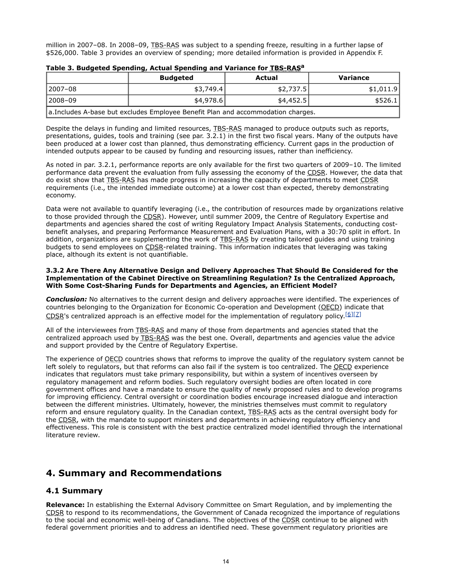million in 2007-08. In 2008-09, TBS-RAS was subject to a spending freeze, resulting in a further lapse of \$526,000. Table 3 provides an overview of spending; more detailed information is provided in Appendix F.

|                                                                                 | <b>Budgeted</b> | Actual    | Variance  |  |  |
|---------------------------------------------------------------------------------|-----------------|-----------|-----------|--|--|
| 2007-08                                                                         | \$3,749.4       | \$2,737.5 | \$1,011.9 |  |  |
| 2008–09                                                                         | \$4.978.6       | \$4,452.5 | \$526.1   |  |  |
| a.Includes A-base but excludes Employee Benefit Plan and accommodation charges. |                 |           |           |  |  |

**Table 3. Budgeted Spending, Actual Spending and Variance for TBS-RAS<sup>a</sup>**

Despite the delays in funding and limited resources, TBS-RAS managed to produce outputs such as reports, presentations, guides, tools and training (see par. 3.2.1) in the first two fiscal years. Many of the outputs have been produced at a lower cost than planned, thus demonstrating efficiency. Current gaps in the production of intended outputs appear to be caused by funding and resourcing issues, rather than inefficiency.

As noted in par. 3.2.1, performance reports are only available for the first two quarters of 2009–10. The limited performance data prevent the evaluation from fully assessing the economy of the CDSR. However, the data that do exist show that TBS-RAS has made progress in increasing the capacity of departments to meet CDSR requirements (i.e., the intended immediate outcome) at a lower cost than expected, thereby demonstrating economy.

Data were not available to quantify leveraging (i.e., the contribution of resources made by organizations relative to those provided through the CDSR). However, until summer 2009, the Centre of Regulatory Expertise and departments and agencies shared the cost of writing Regulatory Impact Analysis Statements, conducting costbenefit analyses, and preparing Performance Measurement and Evaluation Plans, with a 30:70 split in effort. In addition, organizations are supplementing the work of TBS-RAS by creating tailored guides and using training budgets to send employees on CDSR-related training. This information indicates that leveraging was taking place, although its extent is not quantifiable.

#### **3.3.2 Are There Any Alternative Design and Delivery Approaches That Should Be Considered for the Implementation of the Cabinet Directive on Streamlining Regulation? Is the Centralized Approach, With Some Cost-Sharing Funds for Departments and Agencies, an Efficient Model?**

*Conclusion:* No alternatives to the current design and delivery approaches were identified. The experiences of countries belonging to the Organization for Economic Co-operation and Development (OECD) indicate that  $CDSR's$  centralized approach is an effective model for the implementation of regulatory policy. [\[6\]](http://www.tbs-sct.gc.ca/report/orp/2011/cdsr-dcrr04-eng.asp#ftn6)[\[7\]](http://www.tbs-sct.gc.ca/report/orp/2011/cdsr-dcrr04-eng.asp#ftn7)

All of the interviewees from **TBS-RAS** and many of those from departments and agencies stated that the centralized approach used by TBS-RAS was the best one. Overall, departments and agencies value the advice and support provided by the Centre of Regulatory Expertise.

The experience of OECD countries shows that reforms to improve the quality of the regulatory system cannot be left solely to regulators, but that reforms can also fail if the system is too centralized. The QECD experience indicates that regulators must take primary responsibility, but within a system of incentives overseen by regulatory management and reform bodies. Such regulatory oversight bodies are often located in core government offices and have a mandate to ensure the quality of newly proposed rules and to develop programs for improving efficiency. Central oversight or coordination bodies encourage increased dialogue and interaction between the different ministries. Ultimately, however, the ministries themselves must commit to regulatory reform and ensure regulatory quality. In the Canadian context, TBS-RAS acts as the central oversight body for the CDSR, with the mandate to support ministers and departments in achieving regulatory efficiency and effectiveness. This role is consistent with the best practice centralized model identified through the international literature review.

# **4. Summary and Recommendations**

## **4.1 Summary**

**Relevance:** In establishing the External Advisory Committee on Smart Regulation, and by implementing the CDSR to respond to its recommendations, the Government of Canada recognized the importance of regulations to the social and economic well-being of Canadians. The objectives of the CDSR continue to be aligned with federal government priorities and to address an identified need. These government regulatory priorities are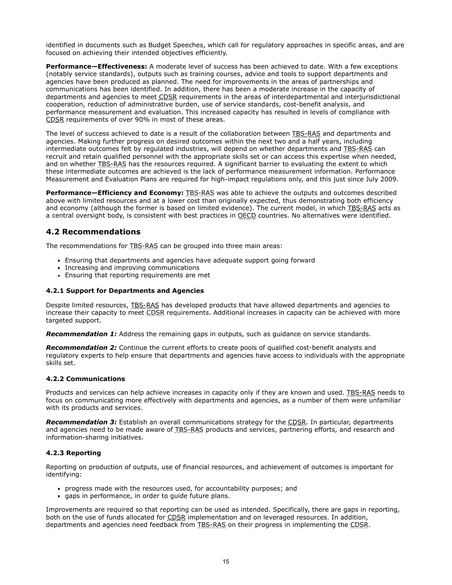identified in documents such as Budget Speeches, which call for regulatory approaches in specific areas, and are focused on achieving their intended objectives efficiently.

**Performance—Effectiveness:** A moderate level of success has been achieved to date. With a few exceptions (notably service standards), outputs such as training courses, advice and tools to support departments and agencies have been produced as planned. The need for improvements in the areas of partnerships and communications has been identified. In addition, there has been a moderate increase in the capacity of departments and agencies to meet CDSR requirements in the areas of interdepartmental and interjurisdictional cooperation, reduction of administrative burden, use of service standards, cost-benefit analysis, and performance measurement and evaluation. This increased capacity has resulted in levels of compliance with CDSR requirements of over 90% in most of these areas.

The level of success achieved to date is a result of the collaboration between TBS-RAS and departments and agencies. Making further progress on desired outcomes within the next two and a half years, including intermediate outcomes felt by regulated industries, will depend on whether departments and TBS-RAS can recruit and retain qualified personnel with the appropriate skills set or can access this expertise when needed, and on whether TBS-RAS has the resources required. A significant barrier to evaluating the extent to which these intermediate outcomes are achieved is the lack of performance measurement information. Performance Measurement and Evaluation Plans are required for high-impact regulations only, and this just since July 2009.

**Performance–Efficiency and Economy:** TBS-RAS was able to achieve the outputs and outcomes described above with limited resources and at a lower cost than originally expected, thus demonstrating both efficiency and economy (although the former is based on limited evidence). The current model, in which TBS-RAS acts as a central oversight body, is consistent with best practices in **QECD** countries. No alternatives were identified.

## **4.2 Recommendations**

The recommendations for TBS-RAS can be grouped into three main areas:

- Ensuring that departments and agencies have adequate support going forward
- Increasing and improving communications
- **Ensuring that reporting requirements are met**

## **4.2.1 Support for Departments and Agencies**

Despite limited resources, TBS-RAS has developed products that have allowed departments and agencies to increase their capacity to meet CDSR requirements. Additional increases in capacity can be achieved with more targeted support.

**Recommendation 1:** Address the remaining gaps in outputs, such as quidance on service standards.

*Recommendation 2:* Continue the current efforts to create pools of qualified cost-benefit analysts and regulatory experts to help ensure that departments and agencies have access to individuals with the appropriate skills set.

## **4.2.2 Communications**

Products and services can help achieve increases in capacity only if they are known and used. TBS-RAS needs to focus on communicating more effectively with departments and agencies, as a number of them were unfamiliar with its products and services.

**Recommendation 3:** Establish an overall communications strategy for the CDSR. In particular, departments and agencies need to be made aware of TBS-RAS products and services, partnering efforts, and research and information-sharing initiatives.

## **4.2.3 Reporting**

Reporting on production of outputs, use of financial resources, and achievement of outcomes is important for identifying:

- progress made with the resources used, for accountability purposes; and
- gaps in performance, in order to guide future plans.

Improvements are required so that reporting can be used as intended. Specifically, there are gaps in reporting, both on the use of funds allocated for CDSR implementation and on leveraged resources. In addition, departments and agencies need feedback from TBS-RAS on their progress in implementing the CDSR.